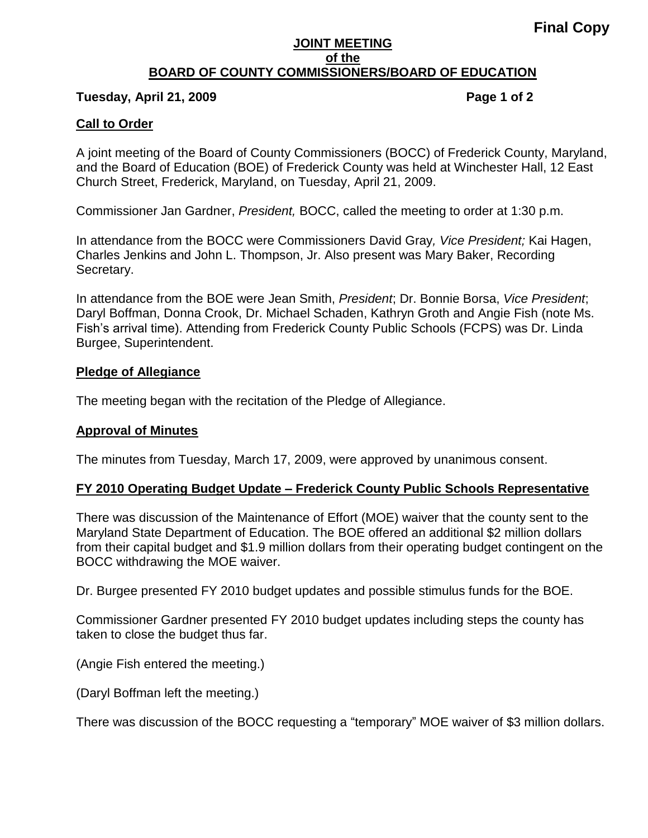### **JOINT MEETING of the BOARD OF COUNTY COMMISSIONERS/BOARD OF EDUCATION**

# **Tuesday, April 21, 2009 Page 1 of 2**

# **Call to Order**

A joint meeting of the Board of County Commissioners (BOCC) of Frederick County, Maryland, and the Board of Education (BOE) of Frederick County was held at Winchester Hall, 12 East Church Street, Frederick, Maryland, on Tuesday, April 21, 2009.

Commissioner Jan Gardner, *President,* BOCC, called the meeting to order at 1:30 p.m.

In attendance from the BOCC were Commissioners David Gray*, Vice President;* Kai Hagen, Charles Jenkins and John L. Thompson, Jr. Also present was Mary Baker, Recording Secretary.

In attendance from the BOE were Jean Smith, *President*; Dr. Bonnie Borsa, *Vice President*; Daryl Boffman, Donna Crook, Dr. Michael Schaden, Kathryn Groth and Angie Fish (note Ms. Fish's arrival time). Attending from Frederick County Public Schools (FCPS) was Dr. Linda Burgee, Superintendent.

## **Pledge of Allegiance**

The meeting began with the recitation of the Pledge of Allegiance.

## **Approval of Minutes**

The minutes from Tuesday, March 17, 2009, were approved by unanimous consent.

# **FY 2010 Operating Budget Update – Frederick County Public Schools Representative**

There was discussion of the Maintenance of Effort (MOE) waiver that the county sent to the Maryland State Department of Education. The BOE offered an additional \$2 million dollars from their capital budget and \$1.9 million dollars from their operating budget contingent on the BOCC withdrawing the MOE waiver.

Dr. Burgee presented FY 2010 budget updates and possible stimulus funds for the BOE.

Commissioner Gardner presented FY 2010 budget updates including steps the county has taken to close the budget thus far.

(Angie Fish entered the meeting.)

(Daryl Boffman left the meeting.)

There was discussion of the BOCC requesting a "temporary" MOE waiver of \$3 million dollars.